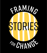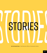

**By Nat Kendall-Taylor** */ Chief Executive Officer at Frameworks Institute*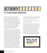# $\bf S$   $\bf T$   $\bf 0$   $\bf R$   $\bf Y$   $\bf T$   $\bf E$   $\bf L$   $\bf L$   $\bf T$   $\bf N$   $\bf B$

### *is all the rage in nonprofit communications.*

Everyone, it seems, is jumping onto the storytelling bandwagon, driving trends in interactive, virtual, and visual stories, storybanking, and science-based storytelling. And for good reason: Stories have remarkable power to drive social change. They appeal to us on a core emotional level and lodge deeply in our minds. Social science and cognitive research show they are more effective than facts, explanations, or arguments in influencing thinking and behavior.

Yet not all stories work the way we think they do. We are fed a steady diet of stories that are, in fact, counterproductive. For example, being exposed continually to individual stories of trial and tribulation makes it easy to see effort and drive as the factors that account for success. But, at the same time, this makes it exceedingly difficult to see a bigger picture and recognize systemic causes and the need for collective solutions to social problems. Similarly, stories that focus overwhelmingly on the extent of problems with little by way of solutions can sap issue-engagement and undermine efforts to mobilize movements. These stories do not build support for our issues, and some even trigger unproductive thoughts or depress support. "Narrative" and

"story" are popular terms in our industry, but not any story will do. We need new and better stories that can advance our issues.

So, how can we make sure that the stories we tell advance our issues?

Let's start with what those of us working for social change want: a society where everyone has a fair and equal chance to reach their full potential and experience positive well-being now and in the future. How can we achieve this and create a society that embodies these values? Part of the answer is that we need public policies that support fairness and equality for all. We know that changing policies in deep and durable ways requires

> *"Narrative" and "story" are popular terms in our industry, but not any story will do.*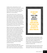building public understanding of social problems—and the will to solve them. To make this change, we must move people to see, think, and feel differently about social issues and how they work so that they respond differently to social problems.

That's where stories come in. Stories are an important part of social change because they have the power to shape the way that people think and feel about their worlds and how they act in them. People understand, communicate, and remember in story. Humans, in fact, are hard-wired for stories. If we want to connect with people, if we want to win their hearts and minds, we need to tell stories. We talk about the importance of story in the communications industry because we all think in story.

Effective stories don't just happen. We need to develop, test, pilot, and disseminate them to make sure they can help create the change and the society—we are working toward. We need to make sure our stories are well framed. The way we choose to present information shapes people's perceptions and behaviors, and is a critical component of effective storytelling. All stories are framed, whether we realize it or not. Thinking about how to frame stories can help us find narratives that "work," that expand the public conversation and change its terms, educate people about complex issues, and help them evaluate proposed solutions.

The way we frame stories shapes and constrains the effects they have. Some stories open up space for discussion, while others shut it down. Some stories shed new light on

*we must move people to see, think, and feel differently about social issues and how they work so that they respond differently to social problems.*

an issue, while others remind people of what they already think and reinforce their existing beliefs. Some stories motivate people to act, while others depress engagement and dampen hope. The way we frame our stories, in other words, can determine whether our initiatives succeed or fail.

Framing research shows that narrative choices make the difference between stories that are memorable—that stick—and change thinking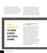and those that fall flat or even backfire. Sometimes these choices are small, such as which pronouns we use in an op-ed or speech. Other times they are big, such as which values to build our communications practice around to explain why our issue matters, or which metaphors to use to explain how it works.

Our research shows that these choices have measurable effects on public thinking. For example, in research in Alberta, Canada, we found that framing addiction issues around the value of interdependence—the idea that we all depend on one another to achieve our full potential—increased support for addiction programs. On the other hand, using the value

## *Core Principles to frame stories for social change*



#### **<sup>1</sup> Stop communicating like you are your audience.**

It is normal to overestimate the degree to which other people think like we do—this is called false consensus bias—and experts and advocates working on social issues frequently fall into this trap. They assume that what convinces them and moves their thinking is the same set of things that will convince and move those with whom they are trying to communicate. For example, advocates in the field of child abuse and neglect in the United Kingdom may be moved by subtle differences in the prevalence of neglect between Scotland and Northern Ireland. But members of the British public don't give a biscuit about these kinds of statistics. They are moved by values, explanations, and solutions that they can see themselves taking part in.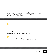of empathy to advocate for addiction policies depressed support for these same programs.

We can study the frame-understanding response to create and tell more effective stories. That's what we do at the FrameWorks Institute: We expose research participants to different frames and measure how they affect understanding, salience, efficacy, and

engagement. We no longer have to guess which stories work. These are empirical questions with empirical answers.

In the course of this work—and by studying the larger body of framing research—we've developed a set of core principles to frame stories for social change.



#### **2 Facts** *do* **matter.**

The idea that we live in a post-fact world is a popular meme, but our research shows that facts play an important role in effective storytelling. In isolation, data about racial disparities in the criminal justice system, for example, are not incredibly powerful in boosting support for reforms. But these same facts are quite powerful when integrated into a story that is framed with a productive value—the idea that we need to design a system that solves problems and is in line with the goals we have for society. In this case, values and facts together create a story that is much more powerful than the same message without facts. Facts alone won't win the day, but don't give up on them—they have a place in your stories.

#### **3 Use explanation, not logic.**

Communications science clearly shows stories that use rhetorical strategies to counter opposing viewpoints or ideologies reaffirm existing beliefs. Explaining how social or scientific phenomena work helps people reevaluate solutions and accord issues greater salience. We have found, for example, that explaining how chronic stress affects developing brains helps people understand a set of core principles of child development and increases support for solutions to mitigate adversity.